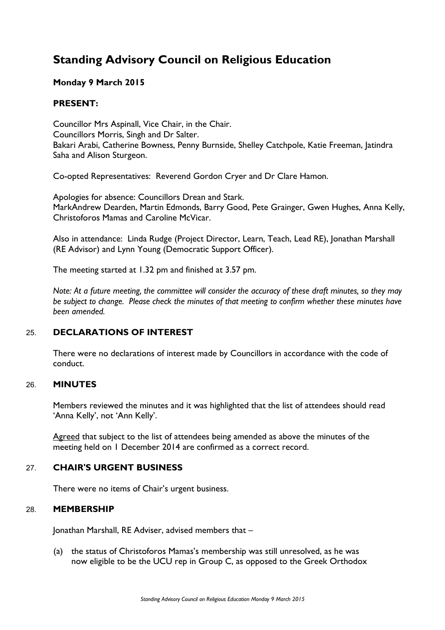# **Standing Advisory Council on Religious Education**

# **Monday 9 March 2015**

# **PRESENT:**

Councillor Mrs Aspinall, Vice Chair, in the Chair. Councillors Morris, Singh and Dr Salter. Bakari Arabi, Catherine Bowness, Penny Burnside, Shelley Catchpole, Katie Freeman, Jatindra Saha and Alison Sturgeon.

Co-opted Representatives: Reverend Gordon Cryer and Dr Clare Hamon.

Apologies for absence: Councillors Drean and Stark. MarkAndrew Dearden, Martin Edmonds, Barry Good, Pete Grainger, Gwen Hughes, Anna Kelly, Christoforos Mamas and Caroline McVicar.

Also in attendance: Linda Rudge (Project Director, Learn, Teach, Lead RE), Jonathan Marshall (RE Advisor) and Lynn Young (Democratic Support Officer).

The meeting started at 1.32 pm and finished at 3.57 pm.

*Note: At a future meeting, the committee will consider the accuracy of these draft minutes, so they may be subject to change. Please check the minutes of that meeting to confirm whether these minutes have been amended.*

# 25. **DECLARATIONS OF INTEREST**

There were no declarations of interest made by Councillors in accordance with the code of conduct.

## 26. **MINUTES**

Members reviewed the minutes and it was highlighted that the list of attendees should read 'Anna Kelly', not 'Ann Kelly'.

Agreed that subject to the list of attendees being amended as above the minutes of the meeting held on 1 December 2014 are confirmed as a correct record.

#### 27. **CHAIR'S URGENT BUSINESS**

There were no items of Chair's urgent business.

#### 28. **MEMBERSHIP**

Jonathan Marshall, RE Adviser, advised members that –

(a) the status of Christoforos Mamas's membership was still unresolved, as he was now eligible to be the UCU rep in Group C, as opposed to the Greek Orthodox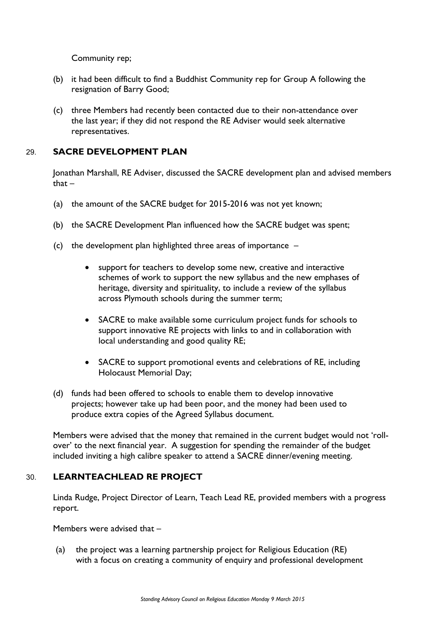Community rep;

- (b) it had been difficult to find a Buddhist Community rep for Group A following the resignation of Barry Good;
- (c) three Members had recently been contacted due to their non-attendance over the last year; if they did not respond the RE Adviser would seek alternative representatives.

# 29. **SACRE DEVELOPMENT PLAN**

Jonathan Marshall, RE Adviser, discussed the SACRE development plan and advised members that –

- (a) the amount of the SACRE budget for 2015-2016 was not yet known;
- (b) the SACRE Development Plan influenced how the SACRE budget was spent;
- (c) the development plan highlighted three areas of importance
	- support for teachers to develop some new, creative and interactive schemes of work to support the new syllabus and the new emphases of heritage, diversity and spirituality, to include a review of the syllabus across Plymouth schools during the summer term;
	- SACRE to make available some curriculum project funds for schools to support innovative RE projects with links to and in collaboration with local understanding and good quality RE;
	- SACRE to support promotional events and celebrations of RE, including Holocaust Memorial Day;
- (d) funds had been offered to schools to enable them to develop innovative projects; however take up had been poor, and the money had been used to produce extra copies of the Agreed Syllabus document.

Members were advised that the money that remained in the current budget would not 'rollover' to the next financial year. A suggestion for spending the remainder of the budget included inviting a high calibre speaker to attend a SACRE dinner/evening meeting.

# 30. **LEARNTEACHLEAD RE PROJECT**

Linda Rudge, Project Director of Learn, Teach Lead RE, provided members with a progress report.

Members were advised that –

(a) the project was a learning partnership project for Religious Education (RE) with a focus on creating a community of enquiry and professional development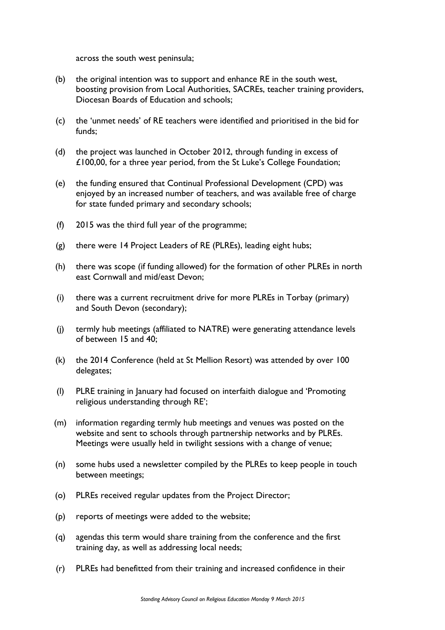across the south west peninsula;

- (b) the original intention was to support and enhance RE in the south west, boosting provision from Local Authorities, SACREs, teacher training providers, Diocesan Boards of Education and schools;
- (c) the 'unmet needs' of RE teachers were identified and prioritised in the bid for funds;
- (d) the project was launched in October 2012, through funding in excess of £100,00, for a three year period, from the St Luke's College Foundation;
- (e) the funding ensured that Continual Professional Development (CPD) was enjoyed by an increased number of teachers, and was available free of charge for state funded primary and secondary schools;
- (f) 2015 was the third full year of the programme;
- (g) there were 14 Project Leaders of RE (PLREs), leading eight hubs;
- (h) there was scope (if funding allowed) for the formation of other PLREs in north east Cornwall and mid/east Devon;
- (i) there was a current recruitment drive for more PLREs in Torbay (primary) and South Devon (secondary);
- (j) termly hub meetings (affiliated to NATRE) were generating attendance levels of between 15 and 40;
- (k) the 2014 Conference (held at St Mellion Resort) was attended by over 100 delegates;
- (l) PLRE training in January had focused on interfaith dialogue and 'Promoting religious understanding through RE';
- (m) information regarding termly hub meetings and venues was posted on the website and sent to schools through partnership networks and by PLREs. Meetings were usually held in twilight sessions with a change of venue;
- (n) some hubs used a newsletter compiled by the PLREs to keep people in touch between meetings;
- (o) PLREs received regular updates from the Project Director;
- (p) reports of meetings were added to the website;
- (q) agendas this term would share training from the conference and the first training day, as well as addressing local needs;
- (r) PLREs had benefitted from their training and increased confidence in their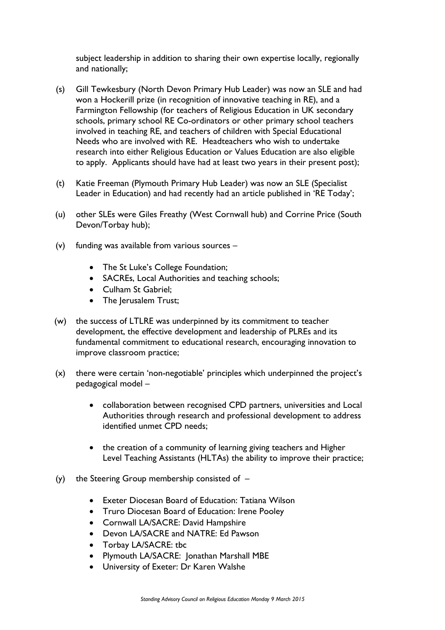subject leadership in addition to sharing their own expertise locally, regionally and nationally;

- (s) Gill Tewkesbury (North Devon Primary Hub Leader) was now an SLE and had won a Hockerill prize (in recognition of innovative teaching in RE), and a Farmington Fellowship (for teachers of Religious Education in UK secondary schools, primary school RE Co-ordinators or other primary school teachers involved in teaching RE, and teachers of children with Special Educational Needs who are involved with RE. Headteachers who wish to undertake research into either Religious Education or Values Education are also eligible to apply. Applicants should have had at least two years in their present post);
- (t) Katie Freeman (Plymouth Primary Hub Leader) was now an SLE (Specialist Leader in Education) and had recently had an article published in 'RE Today';
- (u) other SLEs were Giles Freathy (West Cornwall hub) and Corrine Price (South Devon/Torbay hub);
- (v) funding was available from various sources
	- The St Luke's College Foundation;
	- SACREs, Local Authorities and teaching schools;
	- Culham St Gabriel;
	- The Jerusalem Trust;
- (w) the success of LTLRE was underpinned by its commitment to teacher development, the effective development and leadership of PLREs and its fundamental commitment to educational research, encouraging innovation to improve classroom practice;
- (x) there were certain 'non-negotiable' principles which underpinned the project's pedagogical model –
	- collaboration between recognised CPD partners, universities and Local Authorities through research and professional development to address identified unmet CPD needs;
	- the creation of a community of learning giving teachers and Higher Level Teaching Assistants (HLTAs) the ability to improve their practice;
- (y) the Steering Group membership consisted of
	- Exeter Diocesan Board of Education: Tatiana Wilson
	- Truro Diocesan Board of Education: Irene Pooley
	- Cornwall LA/SACRE: David Hampshire
	- Devon LA/SACRE and NATRE: Ed Pawson
	- Torbay LA/SACRE: tbc
	- Plymouth LA/SACRE: Jonathan Marshall MBE
	- University of Exeter: Dr Karen Walshe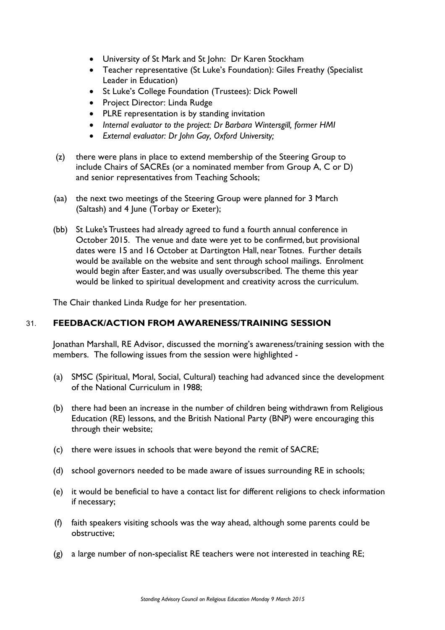- University of St Mark and St John: Dr Karen Stockham
- Teacher representative (St Luke's Foundation): Giles Freathy (Specialist Leader in Education)
- St Luke's College Foundation (Trustees): Dick Powell
- Project Director: Linda Rudge
- PLRE representation is by standing invitation
- *Internal evaluator to the project: Dr Barbara Wintersgill, former HMI*
- *External evaluator: Dr John Gay, Oxford University;*
- (z) there were plans in place to extend membership of the Steering Group to include Chairs of SACREs (or a nominated member from Group A, C or D) and senior representatives from Teaching Schools;
- (aa) the next two meetings of the Steering Group were planned for 3 March (Saltash) and 4 June (Torbay or Exeter);
- (bb) St Luke's Trustees had already agreed to fund a fourth annual conference in October 2015. The venue and date were yet to be confirmed, but provisional dates were 15 and 16 October at Dartington Hall, near Totnes. Further details would be available on the website and sent through school mailings. Enrolment would begin after Easter, and was usually oversubscribed. The theme this year would be linked to spiritual development and creativity across the curriculum.

The Chair thanked Linda Rudge for her presentation.

#### 31. **FEEDBACK/ACTION FROM AWARENESS/TRAINING SESSION**

Jonathan Marshall, RE Advisor, discussed the morning's awareness/training session with the members. The following issues from the session were highlighted -

- (a) SMSC (Spiritual, Moral, Social, Cultural) teaching had advanced since the development of the National Curriculum in 1988;
- (b) there had been an increase in the number of children being withdrawn from Religious Education (RE) lessons, and the British National Party (BNP) were encouraging this through their website;
- (c) there were issues in schools that were beyond the remit of SACRE;
- (d) school governors needed to be made aware of issues surrounding RE in schools;
- (e) it would be beneficial to have a contact list for different religions to check information if necessary;
- (f) faith speakers visiting schools was the way ahead, although some parents could be obstructive;
- (g) a large number of non-specialist RE teachers were not interested in teaching RE;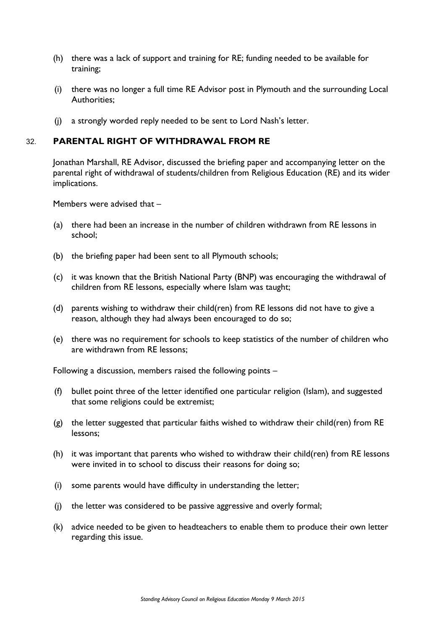- (h) there was a lack of support and training for RE; funding needed to be available for training;
- (i) there was no longer a full time RE Advisor post in Plymouth and the surrounding Local Authorities;
- (j) a strongly worded reply needed to be sent to Lord Nash's letter.

### 32. **PARENTAL RIGHT OF WITHDRAWAL FROM RE**

Jonathan Marshall, RE Advisor, discussed the briefing paper and accompanying letter on the parental right of withdrawal of students/children from Religious Education (RE) and its wider implications.

Members were advised that –

- (a) there had been an increase in the number of children withdrawn from RE lessons in school;
- (b) the briefing paper had been sent to all Plymouth schools;
- (c) it was known that the British National Party (BNP) was encouraging the withdrawal of children from RE lessons, especially where Islam was taught;
- (d) parents wishing to withdraw their child(ren) from RE lessons did not have to give a reason, although they had always been encouraged to do so;
- (e) there was no requirement for schools to keep statistics of the number of children who are withdrawn from RE lessons;

Following a discussion, members raised the following points –

- (f) bullet point three of the letter identified one particular religion (Islam), and suggested that some religions could be extremist;
- (g) the letter suggested that particular faiths wished to withdraw their child(ren) from RE lessons;
- (h) it was important that parents who wished to withdraw their child(ren) from RE lessons were invited in to school to discuss their reasons for doing so;
- (i) some parents would have difficulty in understanding the letter;
- (j) the letter was considered to be passive aggressive and overly formal;
- (k) advice needed to be given to headteachers to enable them to produce their own letter regarding this issue.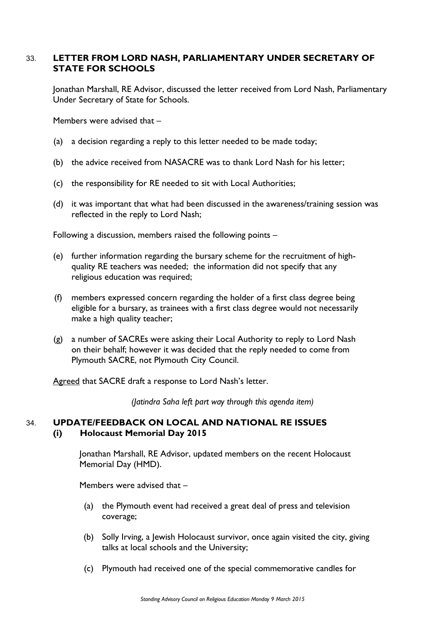# 33. **LETTER FROM LORD NASH, PARLIAMENTARY UNDER SECRETARY OF STATE FOR SCHOOLS**

Jonathan Marshall, RE Advisor, discussed the letter received from Lord Nash, Parliamentary Under Secretary of State for Schools.

Members were advised that –

- (a) a decision regarding a reply to this letter needed to be made today;
- (b) the advice received from NASACRE was to thank Lord Nash for his letter;
- (c) the responsibility for RE needed to sit with Local Authorities;
- (d) it was important that what had been discussed in the awareness/training session was reflected in the reply to Lord Nash;

Following a discussion, members raised the following points –

- (e) further information regarding the bursary scheme for the recruitment of highquality RE teachers was needed; the information did not specify that any religious education was required;
- (f) members expressed concern regarding the holder of a first class degree being eligible for a bursary, as trainees with a first class degree would not necessarily make a high quality teacher;
- (g) a number of SACREs were asking their Local Authority to reply to Lord Nash on their behalf; however it was decided that the reply needed to come from Plymouth SACRE, not Plymouth City Council.

Agreed that SACRE draft a response to Lord Nash's letter.

*(Jatindra Saha left part way through this agenda item)* 

#### 34. **UPDATE/FEEDBACK ON LOCAL AND NATIONAL RE ISSUES (i) Holocaust Memorial Day 2015**

Jonathan Marshall, RE Advisor, updated members on the recent Holocaust Memorial Day (HMD).

Members were advised that –

- (a) the Plymouth event had received a great deal of press and television coverage;
- (b) Solly Irving, a Jewish Holocaust survivor, once again visited the city, giving talks at local schools and the University;
- (c) Plymouth had received one of the special commemorative candles for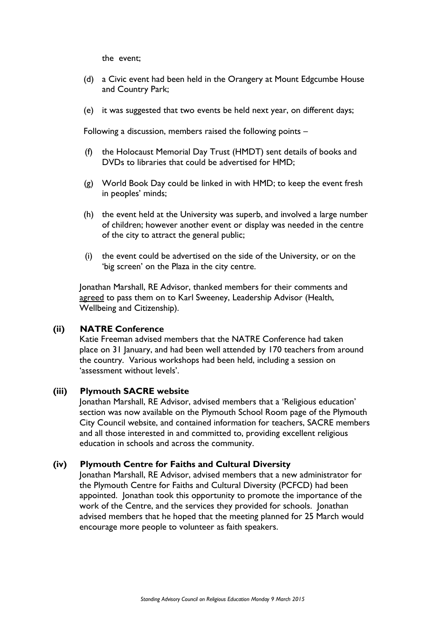the event;

- (d) a Civic event had been held in the Orangery at Mount Edgcumbe House and Country Park;
- (e) it was suggested that two events be held next year, on different days;

Following a discussion, members raised the following points –

- (f) the Holocaust Memorial Day Trust (HMDT) sent details of books and DVDs to libraries that could be advertised for HMD;
- (g) World Book Day could be linked in with HMD; to keep the event fresh in peoples' minds;
- (h) the event held at the University was superb, and involved a large number of children; however another event or display was needed in the centre of the city to attract the general public;
- (i) the event could be advertised on the side of the University, or on the 'big screen' on the Plaza in the city centre.

Jonathan Marshall, RE Advisor, thanked members for their comments and agreed to pass them on to Karl Sweeney, Leadership Advisor (Health, Wellbeing and Citizenship).

#### **(ii) NATRE Conference**

Katie Freeman advised members that the NATRE Conference had taken place on 31 January, and had been well attended by 170 teachers from around the country. Various workshops had been held, including a session on 'assessment without levels'.

#### **(iii) Plymouth SACRE website**

Jonathan Marshall, RE Advisor, advised members that a 'Religious education' section was now available on the Plymouth School Room page of the Plymouth City Council website, and contained information for teachers, SACRE members and all those interested in and committed to, providing excellent religious education in schools and across the community.

#### **(iv) Plymouth Centre for Faiths and Cultural Diversity**

Jonathan Marshall, RE Advisor, advised members that a new administrator for the Plymouth Centre for Faiths and Cultural Diversity (PCFCD) had been appointed. Jonathan took this opportunity to promote the importance of the work of the Centre, and the services they provided for schools. Jonathan advised members that he hoped that the meeting planned for 25 March would encourage more people to volunteer as faith speakers.